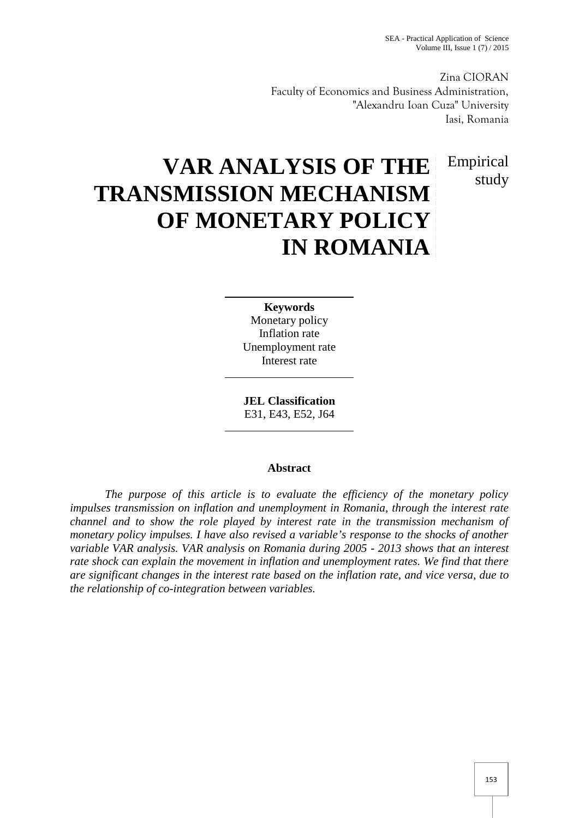Zina CIORAN Faculty of Economics and Business Administration, "Alexandru Ioan Cuza" University Iasi, Romania

# Empirical study

# **VAR ANALYSIS OF THE TRANSMISSION MECHANISM OF MONETARY POLICY IN ROMANIA**

**Keywords** Monetary policy Inflation rate Unemployment rate Interest rate

**JEL Classification** E31, E43, E52, J64

#### **Abstract**

*The purpose of this article is to evaluate the efficiency of the monetary policy impulses transmission on inflation and unemployment in Romania, through the interest rate channel and to show the role played by interest rate in the transmission mechanism of monetary policy impulses. I have also revised a variable's response to the shocks of another variable VAR analysis. VAR analysis on Romania during 2005 - 2013 shows that an interest rate shock can explain the movement in inflation and unemployment rates. We find that there are significant changes in the interest rate based on the inflation rate, and vice versa, due to the relationship of co-integration between variables.*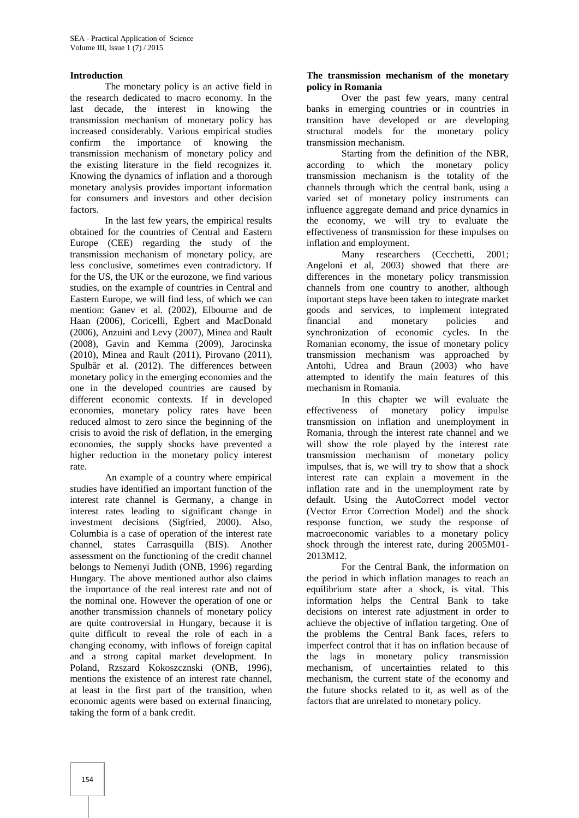#### **Introduction**

The monetary policy is an active field in the research dedicated to macro economy. In the last decade, the interest in knowing the transmission mechanism of monetary policy has increased considerably. Various empirical studies confirm the importance of knowing the transmission mechanism of monetary policy and the existing literature in the field recognizes it. Knowing the dynamics of inflation and a thorough monetary analysis provides important information for consumers and investors and other decision factors.

In the last few years, the empirical results obtained for the countries of Central and Eastern Europe (CEE) regarding the study of the transmission mechanism of monetary policy, are less conclusive, sometimes even contradictory. If for the US, the UK or the eurozone, we find various studies, on the example of countries in Central and Eastern Europe, we will find less, of which we can mention: Ganev et al. (2002), Elbourne and de Haan (2006), Coricelli, Egbert and MacDonald (2006), Anzuini and Levy (2007), Minea and Rault (2008), Gavin and Kemma (2009), Jarocinska (2010), Minea and Rault (2011), Pirovano (2011), Spulb  $r$  et al. (2012). The differences between monetary policy in the emerging economies and the one in the developed countries are caused by different economic contexts. If in developed economies, monetary policy rates have been reduced almost to zero since the beginning of the crisis to avoid the risk of deflation, in the emerging economies, the supply shocks have prevented a higher reduction in the monetary policy interest rate.

An example of a country where empirical studies have identified an important function of the interest rate channel is Germany, a change in interest rates leading to significant change in investment decisions (Sigfried, 2000). Also, Columbia is a case of operation of the interest rate channel, states Carrasquilla (BIS). Another assessment on the functioning of the credit channel belongs to Nemenyi Judith (ONB, 1996) regarding Hungary. The above mentioned author also claims the importance of the real interest rate and not of the nominal one. However the operation of one or another transmission channels of monetary policy are quite controversial in Hungary, because it is quite difficult to reveal the role of each in a changing economy, with inflows of foreign capital and a strong capital market development. In Poland, Rzszard Kokoszcznski (ONB, 1996), mentions the existence of an interest rate channel, at least in the first part of the transition, when economic agents were based on external financing, taking the form of a bank credit.

#### **The transmission mechanism of the monetary policy in Romania**

Over the past few years, many central banks in emerging countries or in countries in transition have developed or are developing structural models for the monetary policy transmission mechanism.

Starting from the definition of the NBR, according to which the monetary policy transmission mechanism is the totality of the channels through which the central bank, using a varied set of monetary policy instruments can influence aggregate demand and price dynamics in the economy, we will try to evaluate the effectiveness of transmission for these impulses on inflation and employment.

Many researchers (Cecchetti, 2001; Angeloni et al, 2003) showed that there are differences in the monetary policy transmission channels from one country to another, although important steps have been taken to integrate market goods and services, to implement integrated and monetary policies and synchronization of economic cycles. In the Romanian economy, the issue of monetary policy transmission mechanism was approached by Antohi, Udrea and Braun (2003) who have attempted to identify the main features of this mechanism in Romania.

In this chapter we will evaluate the effectiveness of monetary policy impulse transmission on inflation and unemployment in Romania, through the interest rate channel and we will show the role played by the interest rate transmission mechanism of monetary policy impulses, that is, we will try to show that a shock interest rate can explain a movement in the inflation rate and in the unemployment rate by default. Using the AutoCorrect model vector (Vector Error Correction Model) and the shock response function, we study the response of macroeconomic variables to a monetary policy shock through the interest rate, during 2005M01- 2013M12.

For the Central Bank, the information on the period in which inflation manages to reach an equilibrium state after a shock, is vital. This information helps the Central Bank to take decisions on interest rate adjustment in order to achieve the objective of inflation targeting. One of the problems the Central Bank faces, refers to imperfect control that it has on inflation because of the lags in monetary policy transmission mechanism, of uncertainties related to this mechanism, the current state of the economy and the future shocks related to it, as well as of the factors that are unrelated to monetary policy.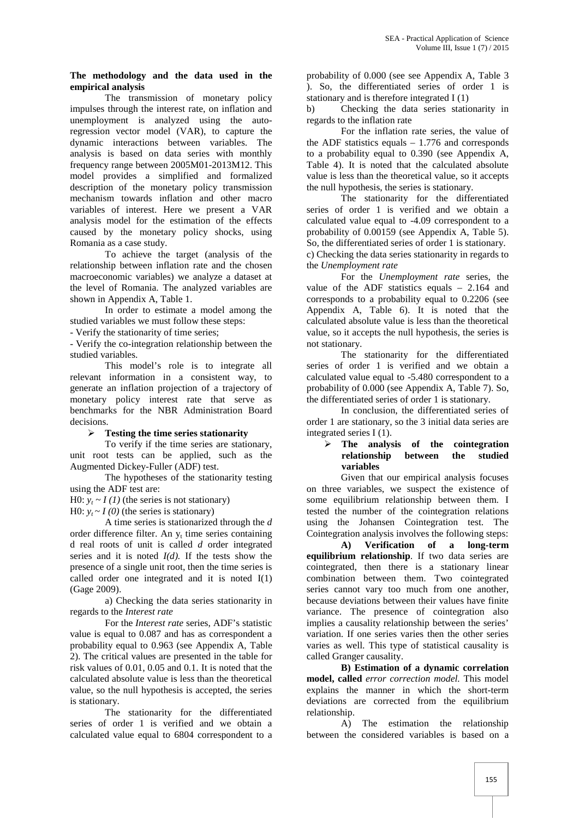#### **The methodology and the data used in the empirical analysis**

The transmission of monetary policy impulses through the interest rate, on inflation and unemployment is analyzed using the autoregression vector model (VAR), to capture the dynamic interactions between variables. The analysis is based on data series with monthly frequency range between 2005M01-2013M12. This model provides a simplified and formalized description of the monetary policy transmission mechanism towards inflation and other macro variables of interest. Here we present a VAR analysis model for the estimation of the effects caused by the monetary policy shocks, using Romania as a case study.

To achieve the target (analysis of the relationship between inflation rate and the chosen macroeconomic variables) we analyze a dataset at the level of Romania. The analyzed variables are shown in Appendix A, Table 1.

In order to estimate a model among the studied variables we must follow these steps:

- Verify the stationarity of time series;

- Verify the co-integration relationship between the studied variables.

This model's role is to integrate all relevant information in a consistent way, to generate an inflation projection of a trajectory of monetary policy interest rate that serve as benchmarks for the NBR Administration Board decisions.

**Testing the time series stationarity**

To verify if the time series are stationary, unit root tests can be applied, such as the Augmented Dickey-Fuller (ADF) test.

The hypotheses of the stationarity testing using the ADF test are:

H0:  $y_t \sim I(1)$  (the series is not stationary)

H0:  $y_t \sim I(0)$  (the series is stationary)

A time series is stationarized through the *d* order difference filter. An  $y_t$  time series containing d real roots of unit is called *d* order integrated series and it is noted  $I(d)$ . If the tests show the presence of a single unit root, then the time series is called order one integrated and it is noted I(1) (Gage 2009).

a) Checking the data series stationarity in regards to the *Interest rate*

For the *Interest rate* series, ADF's statistic value is equal to 0.087 and has as correspondent a probability equal to 0.963 (see Appendix A, Table 2). The critical values are presented in the table for risk values of 0.01, 0.05 and 0.1. It is noted that the calculated absolute value is less than the theoretical value, so the null hypothesis is accepted, the series is stationary.

The stationarity for the differentiated series of order 1 is verified and we obtain a calculated value equal to 6804 correspondent to a probability of 0.000 (see see Appendix A, Table 3 ). So, the differentiated series of order 1 is stationary and is therefore integrated I (1)

b) Checking the data series stationarity in regards to the inflation rate

For the inflation rate series, the value of the ADF statistics equals  $-1.776$  and corresponds to a probability equal to 0.390 (see Appendix A, Table 4). It is noted that the calculated absolute value is less than the theoretical value, so it accepts the null hypothesis, the series is stationary.

The stationarity for the differentiated series of order 1 is verified and we obtain a calculated value equal to -4.09 correspondent to a probability of 0.00159 (see Appendix A, Table 5). So, the differentiated series of order 1 is stationary. c) Checking the data series stationarity in regards to the *Unemployment rate*

For the *Unemployment rate* series, the value of the ADF statistics equals – 2.164 and corresponds to a probability equal to 0.2206 (see Appendix A, Table 6). It is noted that the calculated absolute value is less than the theoretical value, so it accepts the null hypothesis, the series is not stationary.

The stationarity for the differentiated series of order 1 is verified and we obtain a calculated value equal to -5.480 correspondent to a probability of 0.000 (see Appendix A, Table 7). So, the differentiated series of order 1 is stationary.

In conclusion, the differentiated series of order 1 are stationary, so the 3 initial data series are integrated series I (1).

#### **The analysis of the cointegration relationship between the studied variables**

Given that our empirical analysis focuses on three variables, we suspect the existence of some equilibrium relationship between them. I tested the number of the cointegration relations using the Johansen Cointegration test. The Cointegration analysis involves the following steps:

**A) Verification of a long-term equilibrium relationship**. If two data series are cointegrated, then there is a stationary linear combination between them. Two cointegrated series cannot vary too much from one another, because deviations between their values have finite variance. The presence of cointegration also implies a causality relationship between the series' variation. If one series varies then the other series varies as well. This type of statistical causality is called Granger causality.

**B) Estimation of a dynamic correlation model, called** *error correction model.* This model explains the manner in which the short-term deviations are corrected from the equilibrium relationship.

A) The estimation the relationship between the considered variables is based on a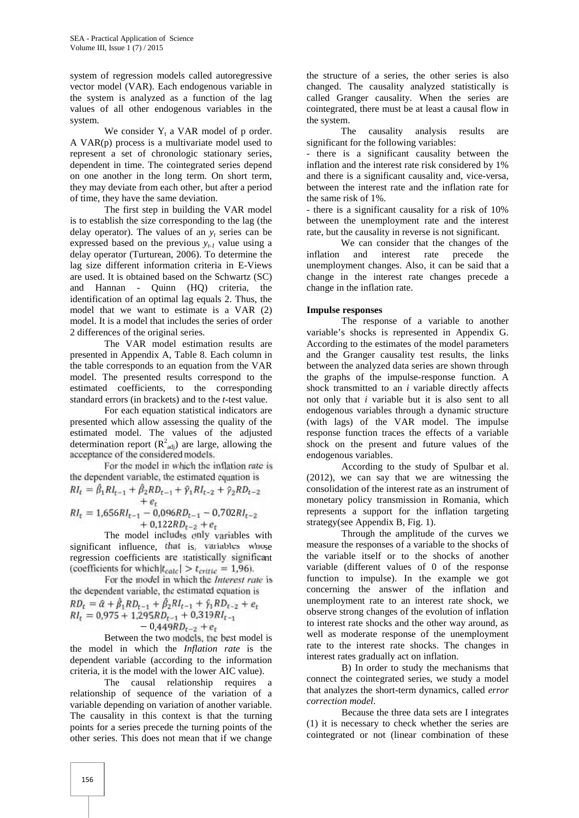system of regression models called autoregressive vector model (VAR). Each endogenous variable in the system is analyzed as a function of the lag values of all other endogenous variables in the system.

We consider  $Y_t$  a VAR model of p order. A VAR(p) process is a multivariate model used to represent a set of chronologic stationary series, dependent in time. The cointegrated series depend on one another in the long term. On short term, they may deviate from each other, but after a period of time, they have the same deviation.

The first step in building the VAR model is to establish the size corresponding to the lag (the delay operator). The values of an  $v_t$  series can be expressed based on the previous  $y_{t-1}$  value using a delay operator (Turturean, 2006). To determine the lag size different information criteria in E-Views are used. It is obtained based on the Schwartz (SC) and Hannan - Quinn (HQ) criteria, the identification of an optimal lag equals 2. Thus, the model that we want to estimate is a VAR (2) model. It is a model that includes the series of order 2 differences of the original series.

The VAR model estimation results are presented in Appendix A, Table 8. Each column in the table corresponds to an equation from the VAR model. The presented results correspond to the estimated coefficients, to the corresponding standard errors (in brackets) and to the *t*-test value.

For each equation statistical indicators are presented which allow assessing the quality of the estimated model. The values of the adjusted determination report  $(R^2_{adj})$  are large, allowing the acceptance of the considered models.

For the model in which the inflation rate is the dependent variable, the estimated equation is

$$
RI_t = \hat{\beta}_1 RI_{t-1} + \hat{\beta}_2 RD_{t-1} + \hat{\gamma}_1 RI_{t-2} + \hat{\gamma}_2 RD_{t-2} + e_t RI_t = 1.656 RI_{t-1} - 0.096 R.D_{t-1} - 0.702 R.L_{t-2}
$$

$$
Rl_t = 1,656RI_{t-1} - 0,096RD_{t-1} - 0,702RI_{t-2} + 0,122RD_{t-2} + e_t
$$

The model includes only variables with significant influence, that is, variables whose regression coefficients are statistically significant (coefficients for which  $|t_{calc}| > t_{critic} = 1,96$ ).

For the model in which the *Interest rate* is the dependent variable, the estimated equation is  $RD_t = \hat{a} + \hat{\beta}_1 RD_{t-1} + \hat{\beta}_2 RI_{t-1} + \hat{\gamma}_1 RD_{t-2} + e_t$  $RI_t = 0.975 + 1.295 RD_{t-1} + 0.319 RI_{t-1}$  $-0.449RD_{t-2} + e_t$ 

Between the two models, the best model is the model in which the *Inflation rate* is the dependent variable (according to the information criteria, it is the model with the lower AIC value).

The causal relationship requires a relationship of sequence of the variation of a variable depending on variation of another variable. The causality in this context is that the turning points for a series precede the turning points of the other series. This does not mean that if we change

the structure of a series, the other series is also changed. The causality analyzed statistically is called Granger causality. When the series are cointegrated, there must be at least a causal flow in the system.

The causality analysis results are significant for the following variables:

- there is a significant causality between the inflation and the interest rate risk considered by 1% and there is a significant causality and, vice-versa, between the interest rate and the inflation rate for the same risk of 1%.

- there is a significant causality for a risk of 10% between the unemployment rate and the interest rate, but the causality in reverse is not significant.

We can consider that the changes of the inflation and interest rate precede the unemployment changes. Also, it can be said that a change in the interest rate changes precede a change in the inflation rate.

#### **Impulse responses**

The response of a variable to another variable's shocks is represented in Appendix G. According to the estimates of the model parameters and the Granger causality test results, the links between the analyzed data series are shown through the graphs of the impulse-response function. A shock transmitted to an *i* variable directly affects not only that *i* variable but it is also sent to all endogenous variables through a dynamic structure (with lags) of the VAR model. The impulse response function traces the effects of a variable shock on the present and future values of the endogenous variables.

According to the study of Spulbar et al. (2012), we can say that we are witnessing the consolidation of the interest rate as an instrument of monetary policy transmission in Romania, which represents a support for the inflation targeting strategy(see Appendix B, Fig. 1).

Through the amplitude of the curves we measure the responses of a variable to the shocks of the variable itself or to the shocks of another variable (different values of 0 of the response function to impulse). In the example we got concerning the answer of the inflation and unemployment rate to an interest rate shock, we observe strong changes of the evolution of inflation to interest rate shocks and the other way around, as well as moderate response of the unemployment rate to the interest rate shocks. The changes in interest rates gradually act on inflation.

B) In order to study the mechanisms that connect the cointegrated series, we study a model that analyzes the short-term dynamics, called *error correction model*.

Because the three data sets are I integrates (1) it is necessary to check whether the series are cointegrated or not (linear combination of these

156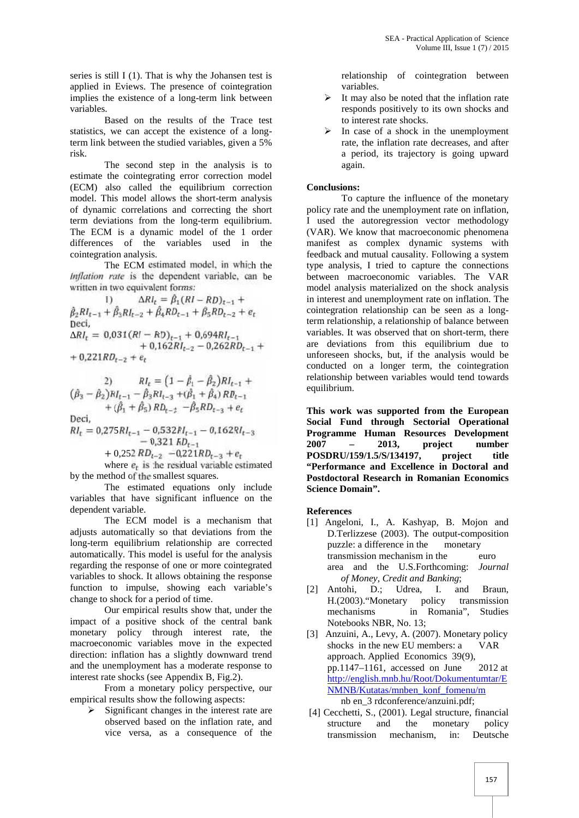series is still I (1). That is why the Johansen test is applied in Eviews. The presence of cointegration implies the existence of a long-term link between variables.

Based on the results of the Trace test statistics, we can accept the existence of a longterm link between the studied variables, given a 5% risk.

The second step in the analysis is to estimate the cointegrating error correction model (ECM) also called the equilibrium correction model. This model allows the short-term analysis of dynamic correlations and correcting the short term deviations from the long-term equilibrium. The ECM is a dynamic model of the 1 order differences of the variables used in the cointegration analysis.

The ECM estimated model, in which the *Inflation rate* is the dependent variable, can be written in two equivalent forms:

1)  $\Delta R l_t = \beta_1 (R I - R D)_{t-1} +$ +  $\mu_3 R l_{t-2}$  +  $\mu_4 R D_{t-1}$  +  $\mu_5 R D_{t-2}$  +  $e_t$ Deci,  $= 0.031(RI - RD)_{t-1} + 0.694RI_{t-1}$  $+ 0,162R I_{t-2} - 0,262R I_{t-1} +$  are  $+ 0,221RD_{t-2} + e_t$ 

2) 
$$
RI_{t} = (1 - \hat{\beta}_{1} - \hat{\beta}_{2})RI_{t-1} + (\hat{\beta}_{3} - \hat{\beta}_{2})RI_{t-1} - \hat{\beta}_{3}RI_{t-3} + (\hat{\beta}_{1} + \hat{\beta}_{4})RD_{t-1} + (\hat{\beta}_{1} + \hat{\beta}_{5}) RD_{t-2} - \hat{\beta}_{5} RD_{t-3} + e_{t}
$$
  
Deci,  

$$
RI_{t} = 0.275RI_{t-1} - 0.532RI_{t-1} - 0.162RI_{t-3}
$$

 $-v_{1}321$   $RD_{t-1}$  $+ 0.252 R D_{t-2} - 0.221 R D_{t-3} + e_t$ 

where  $e_t$  is the residual variable estimated by the method of the smallest squares.

The estimated equations only include variables that have significant influence on the dependent variable.

The ECM model is a mechanism that adjusts automatically so that deviations from the long-term equilibrium relationship are corrected automatically. This model is useful for the analysis regarding the response of one or more cointegrated variables to shock. It allows obtaining the response function to impulse, showing each variable's change to shock for a period of time.

Our empirical results show that, under the impact of a positive shock of the central bank monetary policy through interest rate, the macroeconomic variables move in the expected direction: inflation has a slightly downward trend and the unemployment has a moderate response to interest rate shocks (see Appendix B, Fig.2).

From a monetary policy perspective, our empirical results show the following aspects:

 $\triangleright$  Significant changes in the interest rate are observed based on the inflation rate, and vice versa, as a consequence of the

relationship of cointegration between variables.

- It may also be noted that the inflation rate responds positively to its own shocks and to interest rate shocks.
- $\triangleright$  In case of a shock in the unemployment rate, the inflation rate decreases, and after a period, its trajectory is going upward again.

#### **Conclusions:**

To capture the influence of the monetary policy rate and the unemployment rate on inflation, I used the autoregression vector methodology (VAR). We know that macroeconomic phenomena manifest as complex dynamic systems with feedback and mutual causality. Following a system type analysis, I tried to capture the connections between macroeconomic variables. The VAR model analysis materialized on the shock analysis in interest and unemployment rate on inflation. The cointegration relationship can be seen as a longterm relationship, a relationship of balance between variables. It was observed that on short-term, there are deviations from this equilibrium due to unforeseen shocks, but, if the analysis would be conducted on a longer term, the cointegration relationship between variables would tend towards equilibrium.

**This work was supported from the European Social Fund through Sectorial Operational Programme Human Resources Development 2007 – 2013, project number POSDRU/159/1.5/S/134197, project title "Performance and Excellence in Doctoral and Postdoctoral Research in Romanian Economics Science Domain".**

**References**

- [1] Angeloni, I., A. Kashyap, B. Mojon and D.Terlizzese (2003). The output-composition puzzle: a difference in the monetary transmission mechanism in the euro area and the U.S.Forthcoming: *Journal of Money, Credit and Banking*;
- [2] Antohi, D.; Udrea, I. and Braun, H.(2003)."Monetary policy transmission in Romania", Studies Notebooks NBR, No. 13;
- [3] Anzuini, A., Levy, A. (2007). Monetary policy shocks in the new EU members: a VAR approach. Applied Economics 39(9), pp.1147–1161, accessed on June 2012 at http://english.mnb.hu/Root/Dokumentumtar/E NMNB/Kutatas/mnben\_konf\_fomenu/m nb en\_3 rdconference/anzuini.pdf;
- [4] Cecchetti, S., (2001). Legal structure, financial structure and the monetary policy transmission mechanism, in: Deutsche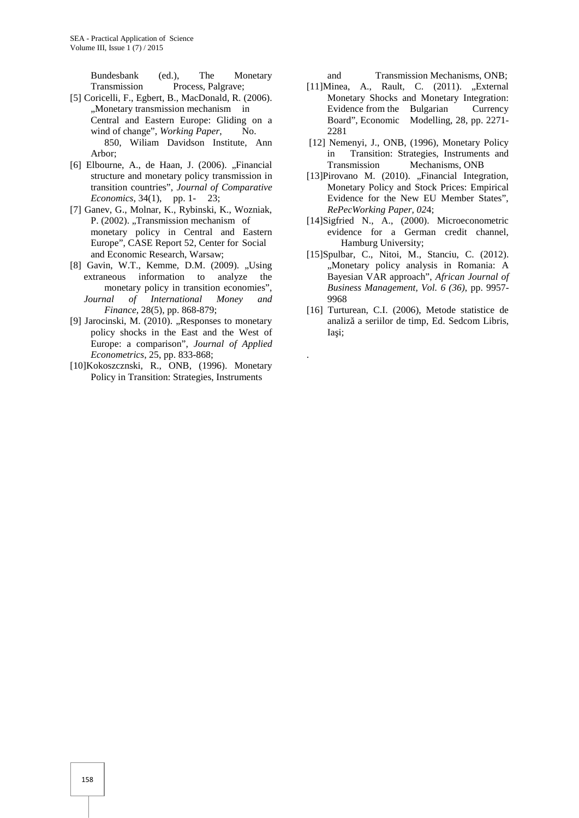Bundesbank (ed.), The Monetary Transmission Process, Palgrave;

- [5] Coricelli, F., Egbert, B., MacDonald, R. (2006). "Monetary transmission mechanism in Central and Eastern Europe: Gliding on a wind of change", *Working Paper*, No. 850, Wiliam Davidson Institute, Ann Arbor;
- $[6]$  Elbourne, A., de Haan, J.  $(2006)$ . "Financial structure and monetary policy transmission in transition countries", *Journal of Comparative Economics*, 34(1), pp. 1- 23;
- [7] Ganev, G., Molnar, K., Rybinski, K., Wozniak, P. (2002). "Transmission mechanism of monetary policy in Central and Eastern Europe", CASE Report 52, Center for Social and Economic Research, Warsaw;
- [8] Gavin, W.T., Kemme, D.M. (2009). "Using extraneous information to analyze the monetary policy in transition economies", *Journal of International Money and Finance,* 28(5), pp. 868-879;
- [9] Jarocinski, M.  $(2010)$ . "Responses to monetary policy shocks in the East and the West of Europe: a comparison", *Journal of Applied Econometrics*, 25, pp. 833-868;
- [10]Kokoszcznski, R., ONB, (1996). Monetary Policy in Transition: Strategies, Instruments

and Transmission Mechanisms, ONB;

- $[11]$ Minea, A., Rault, C.  $(2011)$ . "External Monetary Shocks and Monetary Integration: Evidence from the Bulgarian Currency Board", Economic Modelling, 28, pp. 2271- 2281
- [12] Nemenyi, J., ONB, (1996), Monetary Policy in Transition: Strategies, Instruments and Transmission Mechanisms, ONB
- [13]Pirovano M. (2010). "Financial Integration, Monetary Policy and Stock Prices: Empirical Evidence for the New EU Member States", *RePecWorking Paper, 02*4;
- [14]Sigfried N., A., (2000). Microeconometric evidence for a German credit channel, Hamburg University;
- [15]Spulbar, C., Nitoi, M., Stanciu, C. (2012). "Monetary policy analysis in Romania: A Bayesian VAR approach", *African Journal of Business Management, Vol. 6 (36)*, pp. 9957- 9968
- [16] Turturean, C.I. (2006), Metode statistice de analiz a seriilor de timp, Ed. Sedcom Libris, Ia i:

.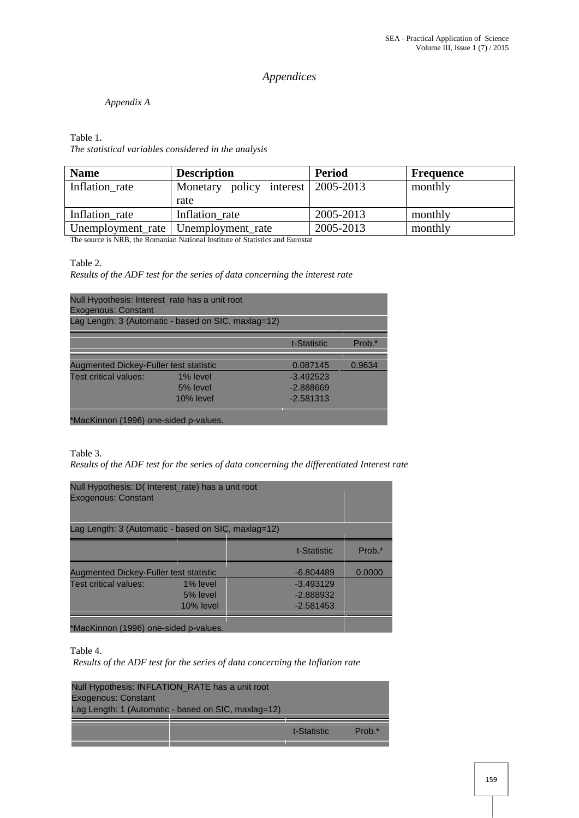# *Appendices*

### *Appendix A*

## Table 1*.*

*The statistical variables considered in the analysis*

| <b>Name</b>    | <b>Description</b>                    | <b>Period</b> | <b>Frequence</b> |
|----------------|---------------------------------------|---------------|------------------|
| Inflation rate | Monetary policy interest   2005-2013  |               | monthly          |
|                | rate                                  |               |                  |
| Inflation rate | Inflation rate                        | 2005-2013     | monthly          |
|                | Unemployment_rate   Unemployment_rate | 2005-2013     | monthly          |

The source is NRB, the Romanian National Institute of Statistics and Eurostat

Table 2.

*Results of the ADF test for the series of data concerning the interest rate*

| Null Hypothesis: Interest_rate has a unit root<br><b>Exogenous: Constant</b><br>Lag Length: 3 (Automatic - based on SIC, maxlag=12) |              |             |          |
|-------------------------------------------------------------------------------------------------------------------------------------|--------------|-------------|----------|
|                                                                                                                                     |              | t-Statistic | $Prob.*$ |
| <b>Augmented Dickey-Fuller test statistic</b>                                                                                       |              | 0.087145    | 0.9634   |
| <b>Test critical values:</b>                                                                                                        | 1% level     | $-3.492523$ |          |
|                                                                                                                                     | 5% level     | $-2.888669$ |          |
|                                                                                                                                     | $10\%$ level | $-2.581313$ |          |

\*MacKinnon (1996) one-sided p-values.

Table 3.

*Results of the ADF test for the series of data concerning the differentiated Interest rate*

| Null Hypothesis: D( Interest_rate) has a unit root<br><b>Exogenous: Constant</b> |                                                     |             |        |
|----------------------------------------------------------------------------------|-----------------------------------------------------|-------------|--------|
|                                                                                  | Lag Length: 3 (Automatic - based on SIC, maxlag=12) |             |        |
|                                                                                  |                                                     | t-Statistic | Prob.* |
| <b>Augmented Dickey-Fuller test statistic</b>                                    |                                                     | $-6.804489$ | 0.0000 |
| Test critical values:                                                            | 1% level                                            | $-3.493129$ |        |
|                                                                                  | 5% level                                            | $-2.888932$ |        |
|                                                                                  | $10\%$ level                                        | $-2.581453$ |        |
| *MacKinnon (1996) one-sided p-values.                                            |                                                     |             |        |

Table 4.

*Results of the ADF test for the series of data concerning the Inflation rate*

| Null Hypothesis: INFLATION_RATE has a unit root<br><b>Exogenous: Constant</b><br>Lag Length: 1 (Automatic - based on SIC, maxlag=12) |             |          |
|--------------------------------------------------------------------------------------------------------------------------------------|-------------|----------|
|                                                                                                                                      | t-Statistic | $Prob.*$ |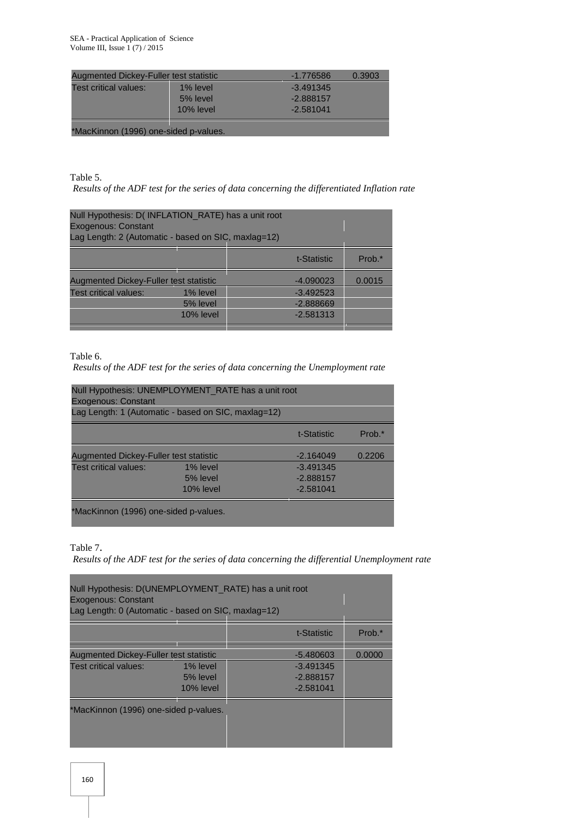| Augmented Dickey-Fuller test statistic |              | $-1.776586$ | 0.3903 |
|----------------------------------------|--------------|-------------|--------|
| Test critical values:                  | 1% level     | $-3.491345$ |        |
|                                        | 5% level     | $-2.888157$ |        |
|                                        | $10\%$ level | $-2.581041$ |        |
|                                        |              |             |        |

\*MacKinnon (1996) one-sided p-values.

Table 5.

*Results of the ADF test for the series of data concerning the differentiated Inflation rate*

| Null Hypothesis: D(INFLATION_RATE) has a unit root<br><b>Exogenous: Constant</b><br>Lag Length: 2 (Automatic - based on SIC, maxlag=12) |              |             |        |
|-----------------------------------------------------------------------------------------------------------------------------------------|--------------|-------------|--------|
|                                                                                                                                         |              | t-Statistic | Prob.* |
| <b>Augmented Dickey-Fuller test statistic</b>                                                                                           |              | $-4.090023$ | 0.0015 |
| Test critical values:                                                                                                                   | 1% level     | $-3.492523$ |        |
|                                                                                                                                         | 5% level     | $-2.888669$ |        |
|                                                                                                                                         | $10\%$ level | $-2.581313$ |        |

Table 6.

*Results of the ADF test for the series of data concerning the Unemployment rate*

| Null Hypothesis: UNEMPLOYMENT_RATE has a unit root<br><b>Exogenous: Constant</b><br>Lag Length: 1 (Automatic - based on SIC, maxlag=12) |              |             |        |
|-----------------------------------------------------------------------------------------------------------------------------------------|--------------|-------------|--------|
|                                                                                                                                         |              | t-Statistic | Prob.* |
| Augmented Dickey-Fuller test statistic                                                                                                  |              | $-2.164049$ | 0.2206 |
| Test critical values:                                                                                                                   | 1% level     | $-3.491345$ |        |
|                                                                                                                                         | 5% level     | $-2.888157$ |        |
|                                                                                                                                         | $10\%$ level | $-2.581041$ |        |
| *MacKinnon (1996) one-sided p-values.                                                                                                   |              |             |        |

Table 7.

*Results of the ADF test for the series of data concerning the differential Unemployment rate*

| Null Hypothesis: D(UNEMPLOYMENT_RATE) has a unit root<br><b>Exogenous: Constant</b><br>Lag Length: 0 (Automatic - based on SIC, maxlag=12) |              |             |        |
|--------------------------------------------------------------------------------------------------------------------------------------------|--------------|-------------|--------|
|                                                                                                                                            |              | t-Statistic | Prob.* |
| <b>Augmented Dickey-Fuller test statistic</b>                                                                                              |              | $-5.480603$ | 0.0000 |
| Test critical values:                                                                                                                      | 1% level     | $-3.491345$ |        |
|                                                                                                                                            | 5% level     | $-2.888157$ |        |
|                                                                                                                                            | $10\%$ level | $-2.581041$ |        |
| *MacKinnon (1996) one-sided p-values.                                                                                                      |              |             |        |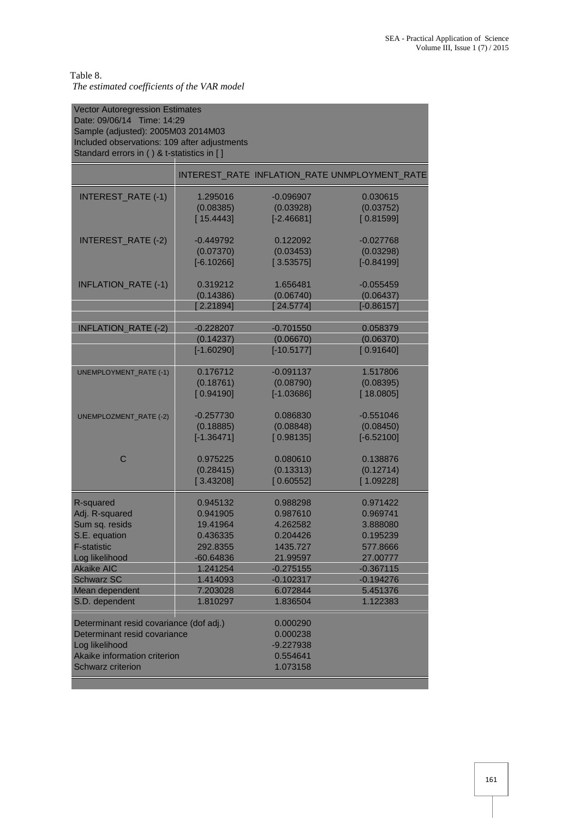#### Table 8. *The estimated coefficients of the VAR model*

| <b>Vector Autoregression Estimates</b><br>Date: 09/06/14 Time: 14:29<br>Sample (adjusted): 2005M03 2014M03<br>Included observations: 109 after adjustments<br>Standard errors in () & t-statistics in [] |              |                                                             |                                               |
|----------------------------------------------------------------------------------------------------------------------------------------------------------------------------------------------------------|--------------|-------------------------------------------------------------|-----------------------------------------------|
|                                                                                                                                                                                                          |              |                                                             | INTEREST_RATE_INFLATION_RATE_UNMPLOYMENT_RATE |
| <b>INTEREST_RATE (-1)</b>                                                                                                                                                                                | 1.295016     | $-0.096907$                                                 | 0.030615                                      |
|                                                                                                                                                                                                          | (0.08385)    | (0.03928)                                                   | (0.03752)                                     |
|                                                                                                                                                                                                          | [15.4443]    | $[-2.46681]$                                                | [0.81599]                                     |
| INTEREST_RATE (-2)                                                                                                                                                                                       | $-0.449792$  | 0.122092                                                    | $-0.027768$                                   |
|                                                                                                                                                                                                          | (0.07370)    | (0.03453)                                                   | (0.03298)                                     |
|                                                                                                                                                                                                          | $[-6.10266]$ | [3.53575]                                                   | $[-0.84199]$                                  |
| <b>INFLATION_RATE (-1)</b>                                                                                                                                                                               | 0.319212     | 1.656481                                                    | $-0.055459$                                   |
|                                                                                                                                                                                                          | (0.14386)    | (0.06740)                                                   | (0.06437)                                     |
|                                                                                                                                                                                                          | [2.21894]    | [24.5774]                                                   | $[-0.86157]$                                  |
| <b>INFLATION_RATE (-2)</b>                                                                                                                                                                               | $-0.228207$  | $-0.701550$                                                 | 0.058379                                      |
|                                                                                                                                                                                                          | (0.14237)    | (0.06670)                                                   | (0.06370)                                     |
|                                                                                                                                                                                                          | $[-1.60290]$ | $[-10.5177]$                                                | [0.91640]                                     |
| <b>UNEMPLOYMENT_RATE (-1)</b>                                                                                                                                                                            | 0.176712     | $-0.091137$                                                 | 1.517806                                      |
|                                                                                                                                                                                                          | (0.18761)    | (0.08790)                                                   | (0.08395)                                     |
|                                                                                                                                                                                                          | [0.94190]    | $[-1.03686]$                                                | [18.0805]                                     |
| <b>UNEMPLOZMENT_RATE (-2)</b>                                                                                                                                                                            | $-0.257730$  | 0.086830                                                    | $-0.551046$                                   |
|                                                                                                                                                                                                          | (0.18885)    | (0.08848)                                                   | (0.08450)                                     |
|                                                                                                                                                                                                          | $[-1.36471]$ | [0.98135]                                                   | $[-6.52100]$                                  |
| $\mathsf{C}$                                                                                                                                                                                             | 0.975225     | 0.080610                                                    | 0.138876                                      |
|                                                                                                                                                                                                          | (0.28415)    | (0.13313)                                                   | (0.12714)                                     |
|                                                                                                                                                                                                          | [3.43208]    | [0.60552]                                                   | [1.09228]                                     |
| R-squared                                                                                                                                                                                                | 0.945132     | 0.988298                                                    | 0.971422                                      |
| Adj. R-squared                                                                                                                                                                                           | 0.941905     | 0.987610                                                    | 0.969741                                      |
| Sum sq. resids                                                                                                                                                                                           | 19.41964     | 4.262582                                                    | 3.888080                                      |
| S.E. equation                                                                                                                                                                                            | 0.436335     | 0.204426                                                    | 0.195239                                      |
| <b>F-statistic</b>                                                                                                                                                                                       | 292.8355     | 1435.727                                                    | 577.8666                                      |
| Log likelihood                                                                                                                                                                                           | $-60.64836$  | 21.99597                                                    | 27.00777                                      |
| <b>Akaike AIC</b>                                                                                                                                                                                        | 1.241254     | $-0.275155$                                                 | $-0.367115$                                   |
| <b>Schwarz SC</b>                                                                                                                                                                                        | 1.414093     | $-0.102317$                                                 | $-0.194276$                                   |
| Mean dependent                                                                                                                                                                                           | 7.203028     | 6.072844                                                    | 5.451376                                      |
| S.D. dependent                                                                                                                                                                                           | 1.810297     | 1.836504                                                    | 1.122383                                      |
| Determinant resid covariance (dof adj.)<br>Determinant resid covariance<br>Log likelihood<br>Akaike information criterion<br><b>Schwarz criterion</b>                                                    |              | 0.000290<br>0.000238<br>$-9.227938$<br>0.554641<br>1.073158 |                                               |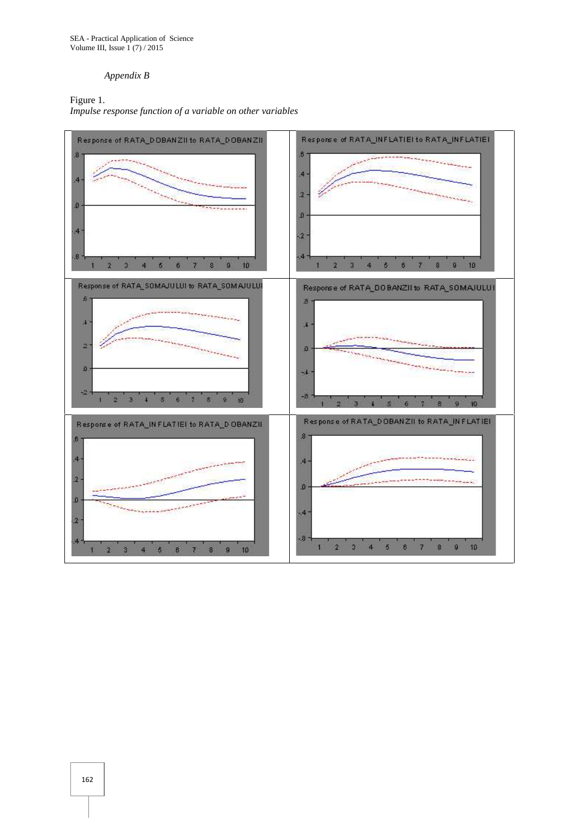SEA - Practical Application of Science Volume III, Issue 1 (7) / 2015

#### *Appendix B*

Figure 1. *Impulse response function of a variable on other variables*

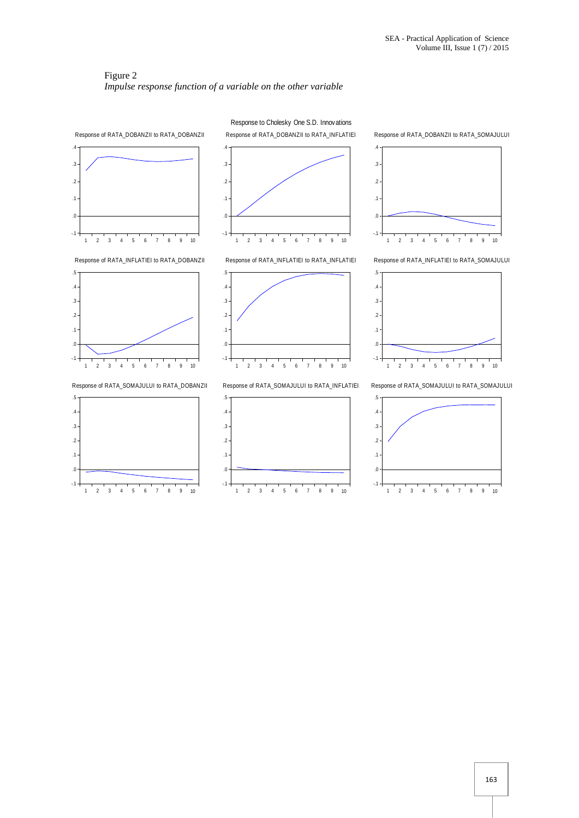#### Figure 2 *Impulse response function of a variable on the other variable*



Response to Cholesky One S.D. Innovations